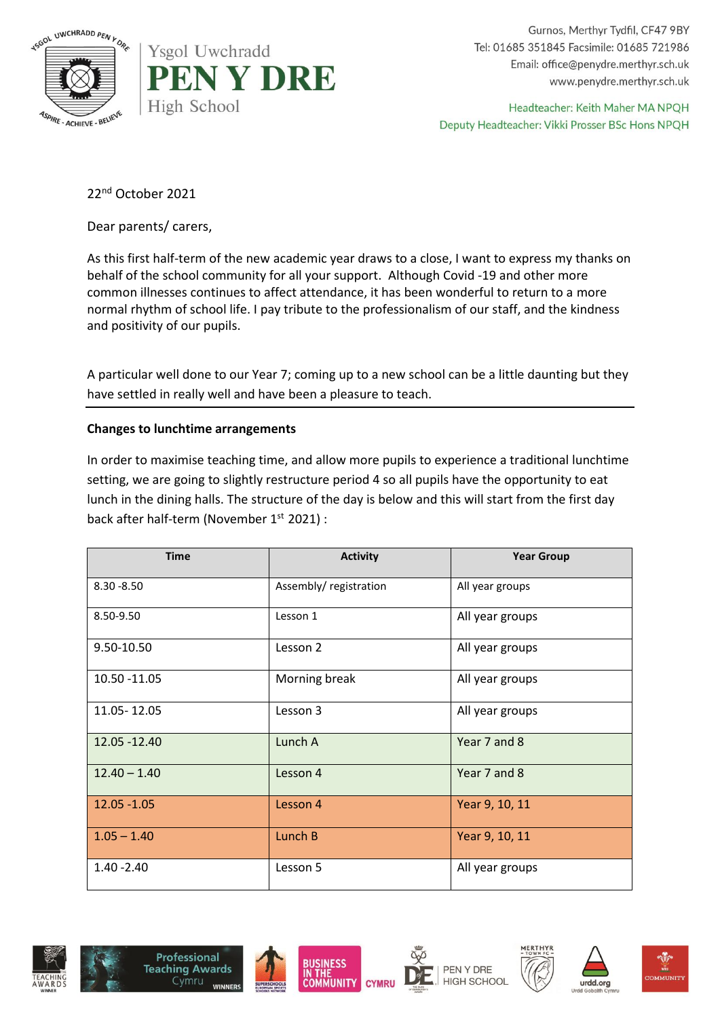



Gurnos, Merthyr Tydfil, CF47 9BY Tel: 01685 351845 Facsimile: 01685 721986 Email: office@penydre.merthyr.sch.uk www.penydre.merthyr.sch.uk

Headteacher: Keith Maher MA NPQH Deputy Headteacher: Vikki Prosser BSc Hons NPQH

22nd October 2021

Dear parents/ carers,

As this first half-term of the new academic year draws to a close, I want to express my thanks on behalf of the school community for all your support. Although Covid -19 and other more common illnesses continues to affect attendance, it has been wonderful to return to a more normal rhythm of school life. I pay tribute to the professionalism of our staff, and the kindness and positivity of our pupils.

A particular well done to our Year 7; coming up to a new school can be a little daunting but they have settled in really well and have been a pleasure to teach.

### **Changes to lunchtime arrangements**

In order to maximise teaching time, and allow more pupils to experience a traditional lunchtime setting, we are going to slightly restructure period 4 so all pupils have the opportunity to eat lunch in the dining halls. The structure of the day is below and this will start from the first day back after half-term (November 1<sup>st</sup> 2021) :

| <b>Time</b>    | <b>Activity</b>       | <b>Year Group</b> |  |
|----------------|-----------------------|-------------------|--|
| $8.30 - 8.50$  | Assembly/registration | All year groups   |  |
| 8.50-9.50      | Lesson 1              | All year groups   |  |
| 9.50-10.50     | Lesson 2              | All year groups   |  |
| 10.50 -11.05   | Morning break         | All year groups   |  |
| 11.05 - 12.05  | Lesson 3              | All year groups   |  |
| 12.05 - 12.40  | Lunch A               | Year 7 and 8      |  |
| $12.40 - 1.40$ | Lesson 4              | Year 7 and 8      |  |
| $12.05 - 1.05$ | Lesson 4              | Year 9, 10, 11    |  |
| $1.05 - 1.40$  | Lunch B               | Year 9, 10, 11    |  |
| $1.40 - 2.40$  | Lesson 5              | All year groups   |  |









**CYMRU** 





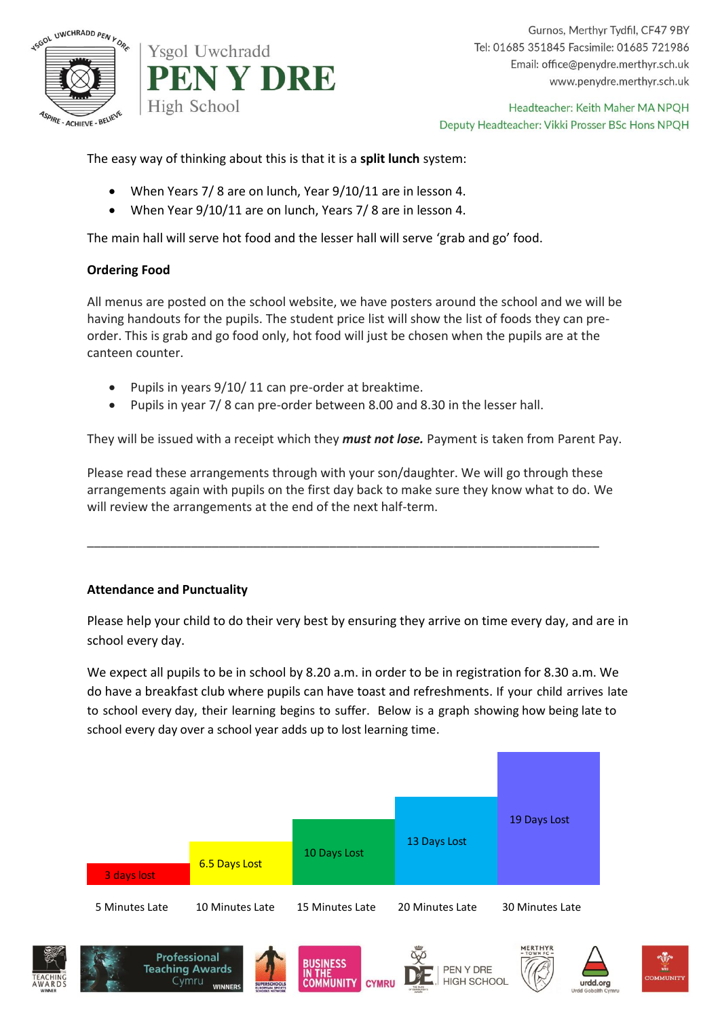

Ysgol Uwchradd **PEN Y DRE** High School

Gurnos, Merthyr Tydfil, CF47 9BY Tel: 01685 351845 Facsimile: 01685 721986 Email: office@penydre.merthyr.sch.uk www.penydre.merthyr.sch.uk

Headteacher: Keith Maher MA NPQH Deputy Headteacher: Vikki Prosser BSc Hons NPQH

The easy way of thinking about this is that it is a **split lunch** system:

- When Years 7/ 8 are on lunch, Year 9/10/11 are in lesson 4.
- When Year 9/10/11 are on lunch, Years 7/ 8 are in lesson 4.

The main hall will serve hot food and the lesser hall will serve 'grab and go' food.

### **Ordering Food**

All menus are posted on the school website, we have posters around the school and we will be having handouts for the pupils. The student price list will show the list of foods they can preorder. This is grab and go food only, hot food will just be chosen when the pupils are at the canteen counter.

- Pupils in years  $9/10/11$  can pre-order at breaktime.
- Pupils in year 7/ 8 can pre-order between 8.00 and 8.30 in the lesser hall.

They will be issued with a receipt which they *must not lose.* Payment is taken from Parent Pay.

Please read these arrangements through with your son/daughter. We will go through these arrangements again with pupils on the first day back to make sure they know what to do. We will review the arrangements at the end of the next half-term.

\_\_\_\_\_\_\_\_\_\_\_\_\_\_\_\_\_\_\_\_\_\_\_\_\_\_\_\_\_\_\_\_\_\_\_\_\_\_\_\_\_\_\_\_\_\_\_\_\_\_\_\_\_\_\_\_\_\_\_\_\_\_\_\_\_\_\_\_\_\_\_\_\_\_

# **Attendance and Punctuality**

Please help your child to do their very best by ensuring they arrive on time every day, and are in school every day.

We expect all pupils to be in school by 8.20 a.m. in order to be in registration for 8.30 a.m. We do have a breakfast club where pupils can have toast and refreshments. If your child arrives late to school every day, their learning begins to suffer. Below is a graph showing how being late to school every day over a school year adds up to lost learning time.

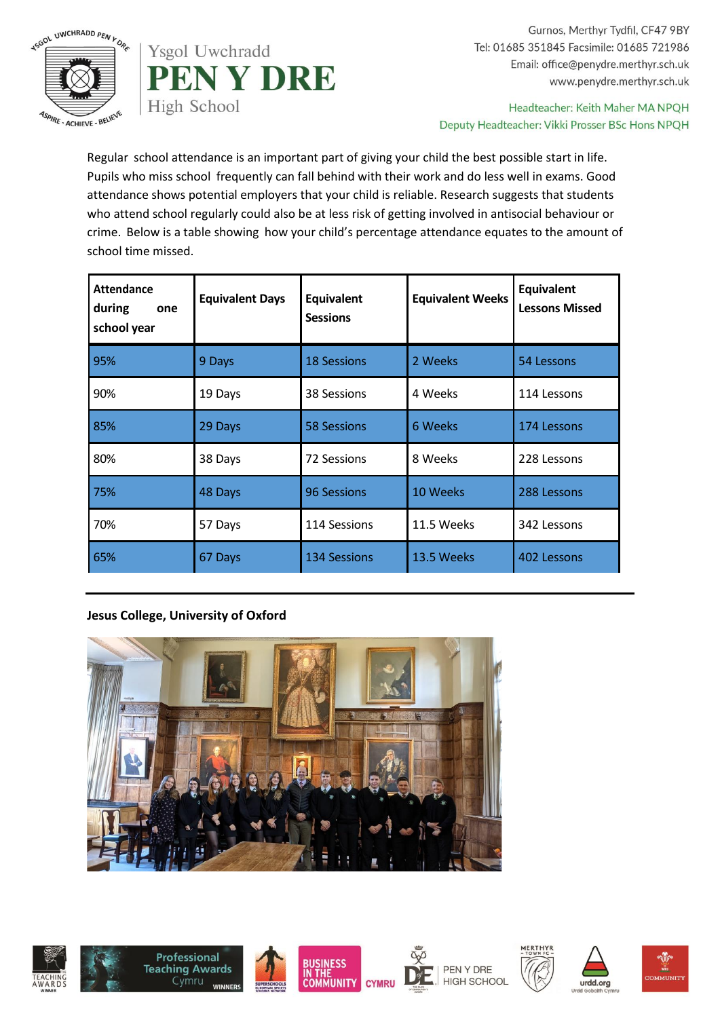



Gurnos, Merthyr Tydfil, CF47 9BY Tel: 01685 351845 Facsimile: 01685 721986 Email: office@penydre.merthyr.sch.uk www.penydre.merthyr.sch.uk

Headteacher: Keith Maher MA NPQH Deputy Headteacher: Vikki Prosser BSc Hons NPQH

Regular school attendance is an important part of giving your child the best possible start in life. Pupils who miss school frequently can fall behind with their work and do less well in exams. Good attendance shows potential employers that your child is reliable. Research suggests that students who attend school regularly could also be at less risk of getting involved in antisocial behaviour or crime. Below is a table showing how your child's percentage attendance equates to the amount of school time missed.

| Attendance<br>during<br>one<br>school year | <b>Equivalent Days</b> | <b>Equivalent</b><br><b>Sessions</b> | <b>Equivalent Weeks</b> | Equivalent<br><b>Lessons Missed</b> |
|--------------------------------------------|------------------------|--------------------------------------|-------------------------|-------------------------------------|
| 95%                                        | 9 Days                 | <b>18 Sessions</b>                   | 2 Weeks                 | 54 Lessons                          |
| 90%                                        | 19 Days                | 38 Sessions                          | 4 Weeks                 | 114 Lessons                         |
| 85%                                        | 29 Days                | 58 Sessions                          | 6 Weeks                 | 174 Lessons                         |
| 80%                                        | 38 Days                | 72 Sessions                          | 8 Weeks                 | 228 Lessons                         |
| 75%                                        | 48 Days                | 96 Sessions                          | 10 Weeks                | 288 Lessons                         |
| 70%                                        | 57 Days                | 114 Sessions                         | 11.5 Weeks              | 342 Lessons                         |
| 65%                                        | 67 Days                | <b>134 Sessions</b>                  | 13.5 Weeks              | 402 Lessons                         |

# **Jesus College, University of Oxford**















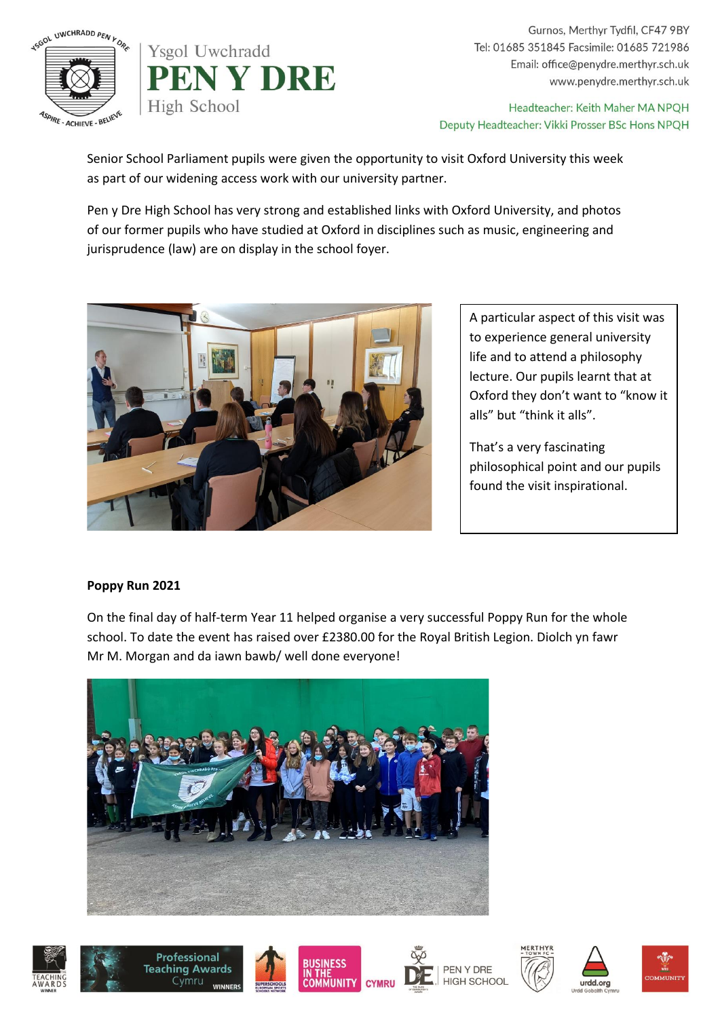



Gurnos, Merthyr Tydfil, CF47 9BY Tel: 01685 351845 Facsimile: 01685 721986 Email: office@penydre.merthyr.sch.uk www.penydre.merthyr.sch.uk

Headteacher: Keith Maher MA NPQH Deputy Headteacher: Vikki Prosser BSc Hons NPQH

Senior School Parliament pupils were given the opportunity to visit Oxford University this week as part of our widening access work with our university partner.

Pen y Dre High School has very strong and established links with Oxford University, and photos of our former pupils who have studied at Oxford in disciplines such as music, engineering and jurisprudence (law) are on display in the school foyer.



A particular aspect of this visit was to experience general university life and to attend a philosophy lecture. Our pupils learnt that at Oxford they don't want to "know it alls" but "think it alls".

That's a very fascinating philosophical point and our pupils found the visit inspirational.

# **Poppy Run 2021**

On the final day of half-term Year 11 helped organise a very successful Poppy Run for the whole school. To date the event has raised over £2380.00 for the Royal British Legion. Diolch yn fawr Mr M. Morgan and da iawn bawb/ well done everyone!